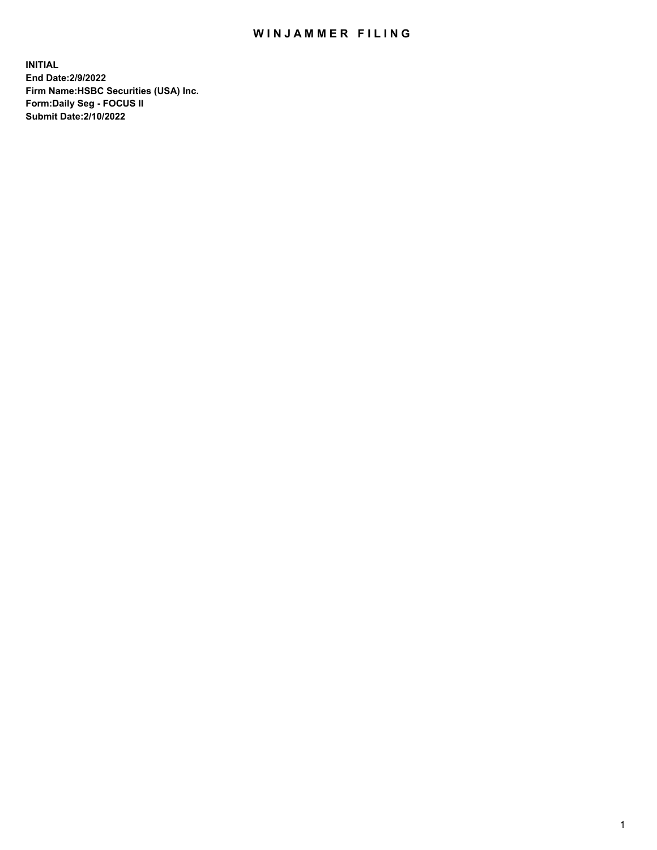## WIN JAMMER FILING

**INITIAL End Date:2/9/2022 Firm Name:HSBC Securities (USA) Inc. Form:Daily Seg - FOCUS II Submit Date:2/10/2022**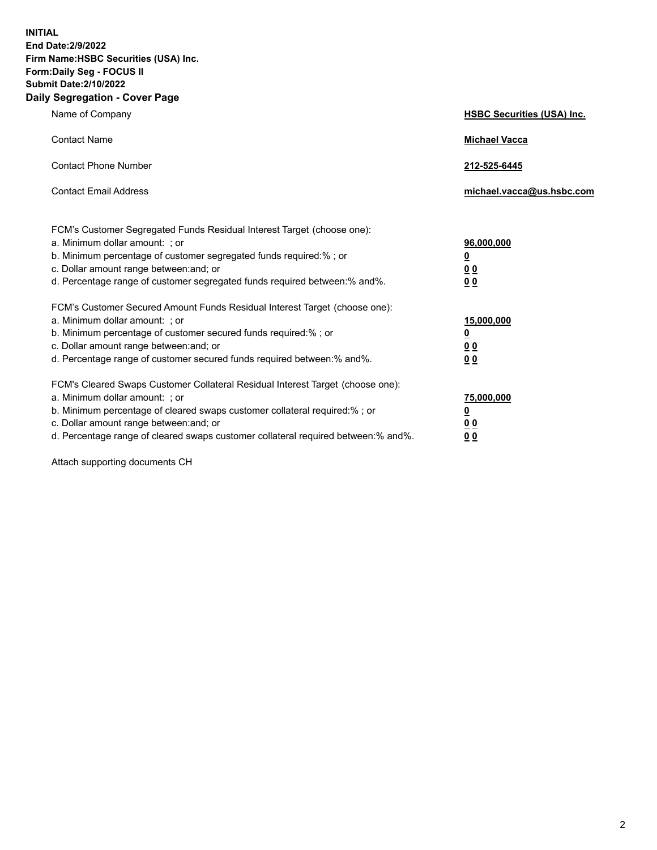**INITIAL End Date:2/9/2022 Firm Name:HSBC Securities (USA) Inc. Form:Daily Seg - FOCUS II Submit Date:2/10/2022 Daily Segregation - Cover Page**

| Name of Company                                                                                                                                                                                                                                                                                                                | <b>HSBC Securities (USA) Inc.</b>                          |
|--------------------------------------------------------------------------------------------------------------------------------------------------------------------------------------------------------------------------------------------------------------------------------------------------------------------------------|------------------------------------------------------------|
| <b>Contact Name</b>                                                                                                                                                                                                                                                                                                            | <b>Michael Vacca</b>                                       |
| <b>Contact Phone Number</b>                                                                                                                                                                                                                                                                                                    | 212-525-6445                                               |
| <b>Contact Email Address</b>                                                                                                                                                                                                                                                                                                   | michael.vacca@us.hsbc.com                                  |
| FCM's Customer Segregated Funds Residual Interest Target (choose one):<br>a. Minimum dollar amount: ; or<br>b. Minimum percentage of customer segregated funds required:% ; or<br>c. Dollar amount range between: and; or<br>d. Percentage range of customer segregated funds required between:% and%.                         | 96,000,000<br><u>0</u><br>0 <sub>0</sub><br>0 <sub>0</sub> |
| FCM's Customer Secured Amount Funds Residual Interest Target (choose one):<br>a. Minimum dollar amount: ; or<br>b. Minimum percentage of customer secured funds required:% ; or<br>c. Dollar amount range between: and; or<br>d. Percentage range of customer secured funds required between: % and %.                         | 15,000,000<br><u>0</u><br>0 <sub>0</sub><br>0 <sub>0</sub> |
| FCM's Cleared Swaps Customer Collateral Residual Interest Target (choose one):<br>a. Minimum dollar amount: ; or<br>b. Minimum percentage of cleared swaps customer collateral required:% ; or<br>c. Dollar amount range between: and; or<br>d. Percentage range of cleared swaps customer collateral required between:% and%. | 75,000,000<br><u>0</u><br>00<br>00                         |

Attach supporting documents CH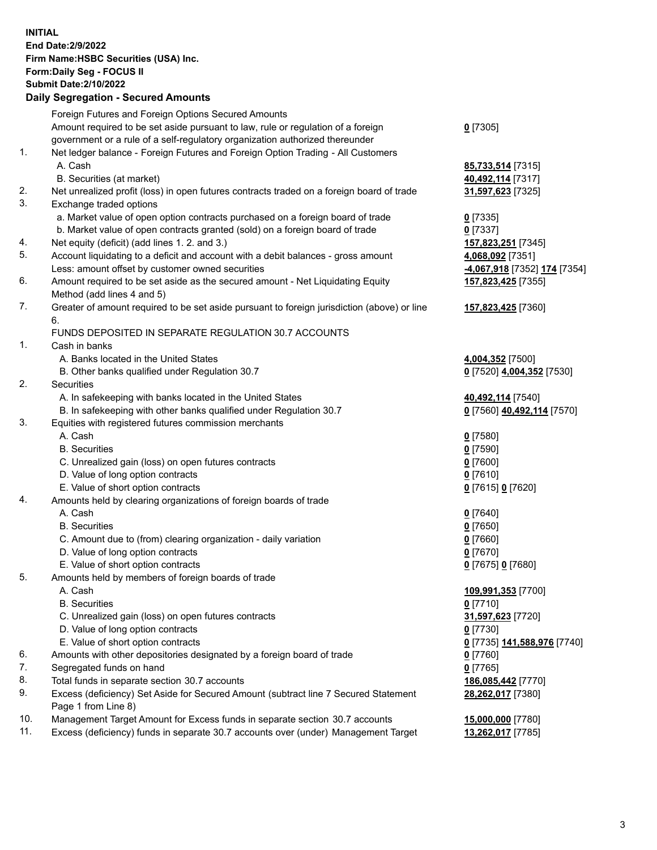**INITIAL End Date:2/9/2022 Firm Name:HSBC Securities (USA) Inc. Form:Daily Seg - FOCUS II Submit Date:2/10/2022 Daily Segregation - Secured Amounts**

Foreign Futures and Foreign Options Secured Amounts Amount required to be set aside pursuant to law, rule or regulation of a foreign government or a rule of a self-regulatory organization authorized thereunder **0** [7305] 1. Net ledger balance - Foreign Futures and Foreign Option Trading - All Customers A. Cash **85,733,514** [7315] B. Securities (at market) **40,492,114** [7317] 2. Net unrealized profit (loss) in open futures contracts traded on a foreign board of trade **31,597,623** [7325] 3. Exchange traded options a. Market value of open option contracts purchased on a foreign board of trade **0** [7335] b. Market value of open contracts granted (sold) on a foreign board of trade **0** [7337] 4. Net equity (deficit) (add lines 1. 2. and 3.) **157,823,251** [7345] 5. Account liquidating to a deficit and account with a debit balances - gross amount **4,068,092** [7351] Less: amount offset by customer owned securities **-4,067,918** [7352] **174** [7354] 6. Amount required to be set aside as the secured amount - Net Liquidating Equity Method (add lines 4 and 5) **157,823,425** [7355] 7. Greater of amount required to be set aside pursuant to foreign jurisdiction (above) or line 6. **157,823,425** [7360] FUNDS DEPOSITED IN SEPARATE REGULATION 30.7 ACCOUNTS 1. Cash in banks A. Banks located in the United States **4,004,352** [7500] B. Other banks qualified under Regulation 30.7 **0** [7520] **4,004,352** [7530] 2. Securities A. In safekeeping with banks located in the United States **40,492,114** [7540] B. In safekeeping with other banks qualified under Regulation 30.7 **0** [7560] **40,492,114** [7570] 3. Equities with registered futures commission merchants A. Cash **0** [7580] B. Securities **0** [7590] C. Unrealized gain (loss) on open futures contracts **0** [7600] D. Value of long option contracts **0** [7610] E. Value of short option contracts **0** [7615] **0** [7620] 4. Amounts held by clearing organizations of foreign boards of trade A. Cash **0** [7640] B. Securities **0** [7650] C. Amount due to (from) clearing organization - daily variation **0** [7660] D. Value of long option contracts **0** [7670] E. Value of short option contracts **0** [7675] **0** [7680] 5. Amounts held by members of foreign boards of trade A. Cash **109,991,353** [7700] B. Securities **0** [7710] C. Unrealized gain (loss) on open futures contracts **31,597,623** [7720] D. Value of long option contracts **0** [7730] E. Value of short option contracts **0** [7735] **141,588,976** [7740] 6. Amounts with other depositories designated by a foreign board of trade **0** [7760] 7. Segregated funds on hand **0** [7765] 8. Total funds in separate section 30.7 accounts **186,085,442** [7770] 9. Excess (deficiency) Set Aside for Secured Amount (subtract line 7 Secured Statement Page 1 from Line 8) **28,262,017** [7380] 10. Management Target Amount for Excess funds in separate section 30.7 accounts **15,000,000** [7780] 11. Excess (deficiency) funds in separate 30.7 accounts over (under) Management Target **13,262,017** [7785]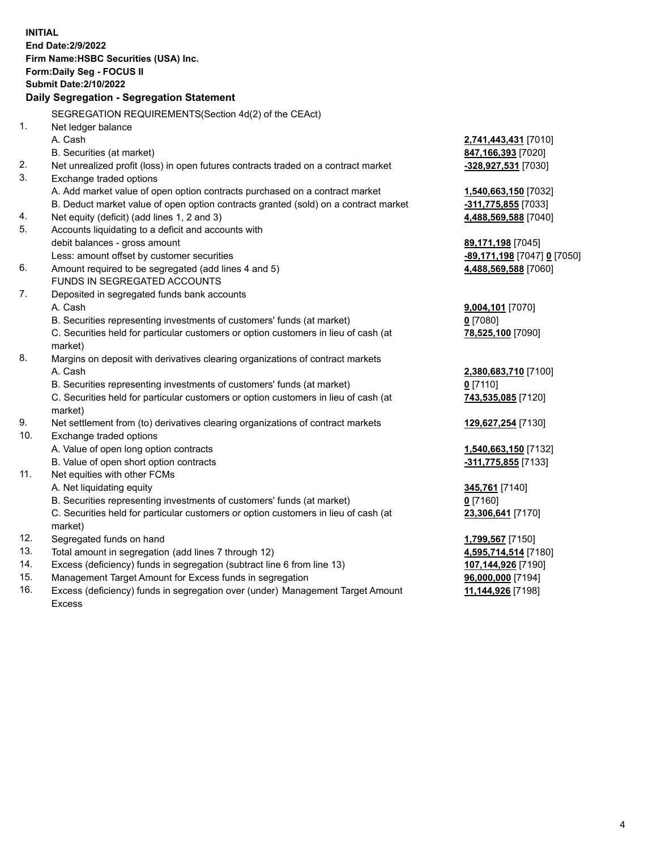|     | <b>INITIAL</b><br>End Date: 2/9/2022<br>Firm Name: HSBC Securities (USA) Inc.<br>Form: Daily Seg - FOCUS II<br><b>Submit Date: 2/10/2022</b><br>Daily Segregation - Segregation Statement |                                           |
|-----|-------------------------------------------------------------------------------------------------------------------------------------------------------------------------------------------|-------------------------------------------|
|     | SEGREGATION REQUIREMENTS(Section 4d(2) of the CEAct)                                                                                                                                      |                                           |
| 1.  | Net ledger balance                                                                                                                                                                        |                                           |
|     | A. Cash                                                                                                                                                                                   | 2,741,443,431 [7010]                      |
|     | B. Securities (at market)                                                                                                                                                                 | 847,166,393 [7020]                        |
| 2.  | Net unrealized profit (loss) in open futures contracts traded on a contract market                                                                                                        | -328,927,531 [7030]                       |
| 3.  | Exchange traded options                                                                                                                                                                   |                                           |
|     | A. Add market value of open option contracts purchased on a contract market                                                                                                               | 1,540,663,150 [7032]                      |
|     | B. Deduct market value of open option contracts granted (sold) on a contract market                                                                                                       | -311,775,855 [7033]                       |
| 4.  | Net equity (deficit) (add lines 1, 2 and 3)                                                                                                                                               | 4,488,569,588 [7040]                      |
| 5.  | Accounts liquidating to a deficit and accounts with                                                                                                                                       |                                           |
|     | debit balances - gross amount                                                                                                                                                             | 89,171,198 [7045]                         |
|     | Less: amount offset by customer securities                                                                                                                                                | <b>-89,171,198</b> [7047] <b>0</b> [7050] |
| 6.  | Amount required to be segregated (add lines 4 and 5)                                                                                                                                      | 4,488,569,588 [7060]                      |
|     | FUNDS IN SEGREGATED ACCOUNTS                                                                                                                                                              |                                           |
| 7.  | Deposited in segregated funds bank accounts                                                                                                                                               |                                           |
|     | A. Cash                                                                                                                                                                                   | 9,004,101 [7070]                          |
|     | B. Securities representing investments of customers' funds (at market)                                                                                                                    | $0$ [7080]                                |
|     | C. Securities held for particular customers or option customers in lieu of cash (at                                                                                                       | 78,525,100 [7090]                         |
|     | market)                                                                                                                                                                                   |                                           |
| 8.  | Margins on deposit with derivatives clearing organizations of contract markets                                                                                                            |                                           |
|     | A. Cash                                                                                                                                                                                   | 2,380,683,710 [7100]                      |
|     | B. Securities representing investments of customers' funds (at market)                                                                                                                    | $0$ [7110]                                |
|     | C. Securities held for particular customers or option customers in lieu of cash (at<br>market)                                                                                            | 743,535,085 [7120]                        |
| 9.  | Net settlement from (to) derivatives clearing organizations of contract markets                                                                                                           | 129,627,254 [7130]                        |
| 10. | Exchange traded options                                                                                                                                                                   |                                           |
|     | A. Value of open long option contracts                                                                                                                                                    | 1,540,663,150 [7132]                      |
|     | B. Value of open short option contracts                                                                                                                                                   | $-311,775,855$ [7133]                     |
| 11. | Net equities with other FCMs                                                                                                                                                              |                                           |
|     | A. Net liquidating equity                                                                                                                                                                 | 345,761 [7140]                            |
|     | B. Securities representing investments of customers' funds (at market)                                                                                                                    | $0$ [7160]                                |
|     | C. Securities held for particular customers or option customers in lieu of cash (at<br>market)                                                                                            | 23,306,641 [7170]                         |
| 12. | Segregated funds on hand                                                                                                                                                                  | 1,799,567 [7150]                          |
| 13. | Total amount in segregation (add lines 7 through 12)                                                                                                                                      | 4,595,714,514 [7180]                      |
| 14. | Excess (deficiency) funds in segregation (subtract line 6 from line 13)                                                                                                                   | 107,144,926 [7190]                        |
| 15. | Management Target Amount for Excess funds in segregation                                                                                                                                  | 96,000,000 [7194]                         |
| 16. | Excess (deficiency) funds in segregation over (under) Management Target Amount                                                                                                            | 11,144,926 [7198]                         |

16. Excess (deficiency) funds in segregation over (under) Management Target Amount Excess